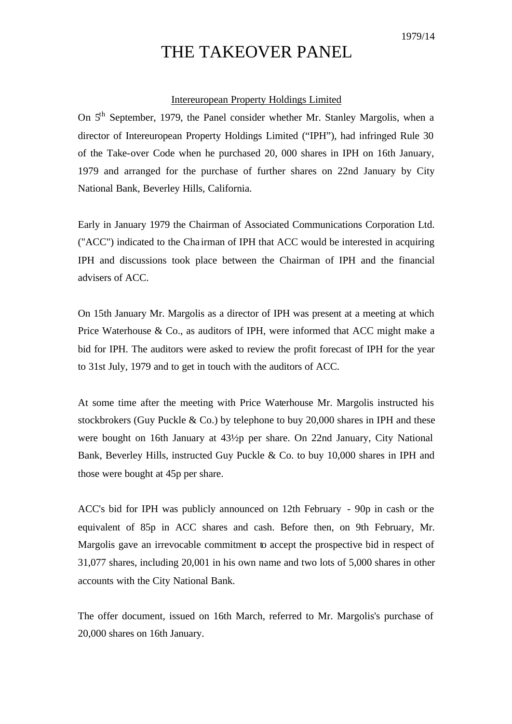## THE TAKEOVER PANEL

## Intereuropean Property Holdings Limited

On 5th September, 1979, the Panel consider whether Mr. Stanley Margolis, when a director of Intereuropean Property Holdings Limited ("IPH"), had infringed Rule 30 of the Take-over Code when he purchased 20, 000 shares in IPH on 16th January, 1979 and arranged for the purchase of further shares on 22nd January by City National Bank, Beverley Hills, California.

Early in January 1979 the Chairman of Associated Communications Corporation Ltd. ("ACC") indicated to the Cha irman of IPH that ACC would be interested in acquiring IPH and discussions took place between the Chairman of IPH and the financial advisers of ACC.

On 15th January Mr. Margolis as a director of IPH was present at a meeting at which Price Waterhouse & Co., as auditors of IPH, were informed that ACC might make a bid for IPH. The auditors were asked to review the profit forecast of IPH for the year to 31st July, 1979 and to get in touch with the auditors of ACC.

At some time after the meeting with Price Waterhouse Mr. Margolis instructed his stockbrokers (Guy Puckle & Co.) by telephone to buy 20,000 shares in IPH and these were bought on 16th January at 43½p per share. On 22nd January, City National Bank, Beverley Hills, instructed Guy Puckle & Co. to buy 10,000 shares in IPH and those were bought at 45p per share.

ACC's bid for IPH was publicly announced on 12th February - 90p in cash or the equivalent of 85p in ACC shares and cash. Before then, on 9th February, Mr. Margolis gave an irrevocable commitment to accept the prospective bid in respect of 31,077 shares, including 20,001 in his own name and two lots of 5,000 shares in other accounts with the City National Bank.

The offer document, issued on 16th March, referred to Mr. Margolis's purchase of 20,000 shares on 16th January.